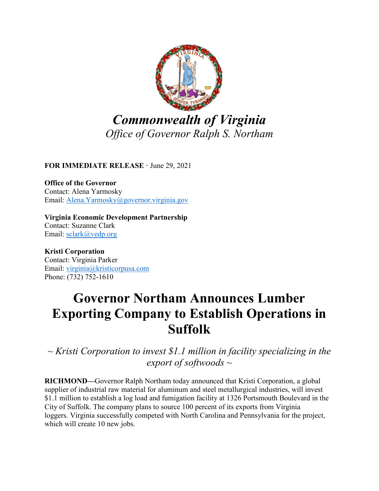

**FOR IMMEDIATE RELEASE ·** June 29, 2021

**Office of the Governor** Contact: Alena Yarmosky Email: [Alena.Yarmosky@governor.virginia.gov](mailto:alena.yarmosky@governor.virginia.gov)

**Virginia Economic Development Partnership** Contact: Suzanne Clark Email: [sclark@vedp.org](mailto:sclark@vedp.org)

**Kristi Corporation** Contact: Virginia Parker Email: [virginia@kristicorpusa.com](mailto:virginia@kristicorpusa.com) Phone: (732) 752-1610

## **Governor Northam Announces Lumber Exporting Company to Establish Operations in Suffolk**

*~ Kristi Corporation to invest \$1.1 million in facility specializing in the export of softwoods ~*

**RICHMOND—**Governor Ralph Northam today announced that Kristi Corporation, a global supplier of industrial raw material for aluminum and steel metallurgical industries, will invest \$1.1 million to establish a log load and fumigation facility at 1326 Portsmouth Boulevard in the City of Suffolk. The company plans to source 100 percent of its exports from Virginia loggers. Virginia successfully competed with North Carolina and Pennsylvania for the project, which will create 10 new jobs.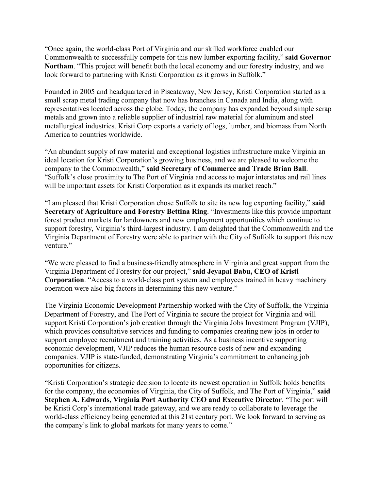"Once again, the world-class Port of Virginia and our skilled workforce enabled our Commonwealth to successfully compete for this new lumber exporting facility," **said Governor Northam**. "This project will benefit both the local economy and our forestry industry, and we look forward to partnering with Kristi Corporation as it grows in Suffolk."

Founded in 2005 and headquartered in Piscataway, New Jersey, Kristi Corporation started as a small scrap metal trading company that now has branches in Canada and India, along with representatives located across the globe. Today, the company has expanded beyond simple scrap metals and grown into a reliable supplier of industrial raw material for aluminum and steel metallurgical industries. Kristi Corp exports a variety of logs, lumber, and biomass from North America to countries worldwide.

"An abundant supply of raw material and exceptional logistics infrastructure make Virginia an ideal location for Kristi Corporation's growing business, and we are pleased to welcome the company to the Commonwealth," **said Secretary of Commerce and Trade Brian Ball**. "Suffolk's close proximity to The Port of Virginia and access to major interstates and rail lines will be important assets for Kristi Corporation as it expands its market reach."

"I am pleased that Kristi Corporation chose Suffolk to site its new log exporting facility," **said Secretary of Agriculture and Forestry Bettina Ring**. "Investments like this provide important forest product markets for landowners and new employment opportunities which continue to support forestry, Virginia's third-largest industry. I am delighted that the Commonwealth and the Virginia Department of Forestry were able to partner with the City of Suffolk to support this new venture."

"We were pleased to find a business-friendly atmosphere in Virginia and great support from the Virginia Department of Forestry for our project," **said Jeyapal Babu, CEO of Kristi Corporation**. "Access to a world-class port system and employees trained in heavy machinery operation were also big factors in determining this new venture."

The Virginia Economic Development Partnership worked with the City of Suffolk, the Virginia Department of Forestry, and The Port of Virginia to secure the project for Virginia and will support Kristi Corporation's job creation through the Virginia Jobs Investment Program (VJIP), which provides consultative services and funding to companies creating new jobs in order to support employee recruitment and training activities. As a business incentive supporting economic development, VJIP reduces the human resource costs of new and expanding companies. VJIP is state-funded, demonstrating Virginia's commitment to enhancing job opportunities for citizens.

"Kristi Corporation's strategic decision to locate its newest operation in Suffolk holds benefits for the company, the economies of Virginia, the City of Suffolk, and The Port of Virginia," **said Stephen A. Edwards, Virginia Port Authority CEO and Executive Director**. "The port will be Kristi Corp's international trade gateway, and we are ready to collaborate to leverage the world-class efficiency being generated at this 21st century port. We look forward to serving as the company's link to global markets for many years to come."